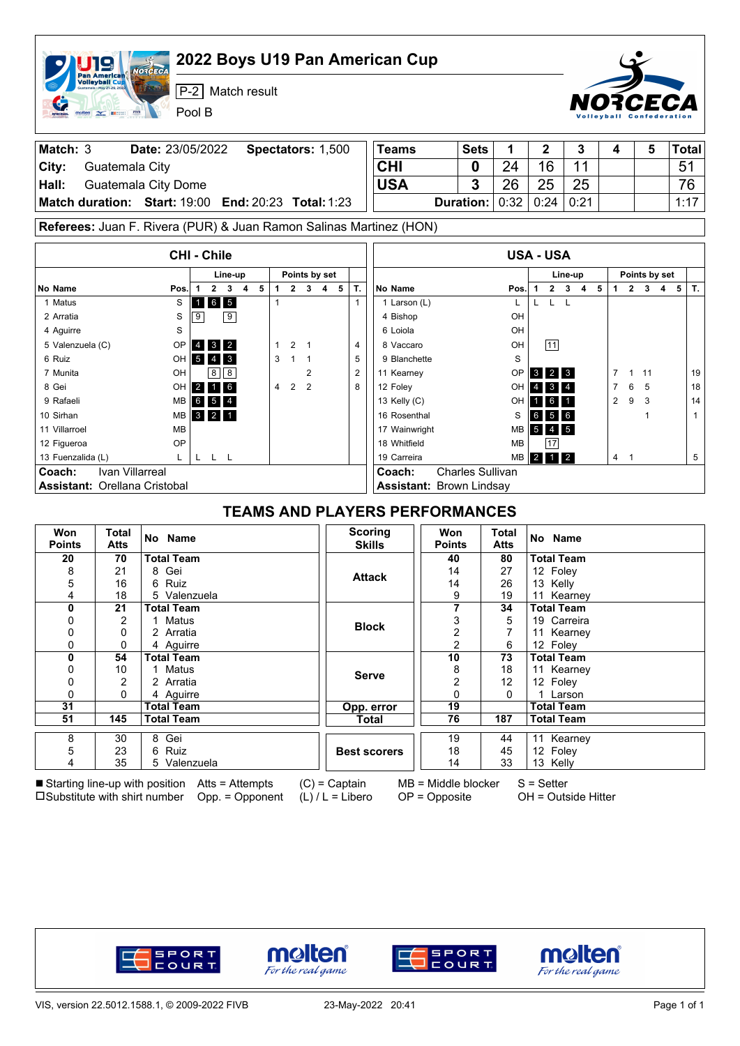|                                      |                                                                             | 2022 Boys U19 Pan American Cup<br><b>OTCECA</b>                                                                                                                                                                                                                                                |                                       |                                                                                 |                        |                                 |                     |                         |                |                                 |                          |             |                |                     |   |       |
|--------------------------------------|-----------------------------------------------------------------------------|------------------------------------------------------------------------------------------------------------------------------------------------------------------------------------------------------------------------------------------------------------------------------------------------|---------------------------------------|---------------------------------------------------------------------------------|------------------------|---------------------------------|---------------------|-------------------------|----------------|---------------------------------|--------------------------|-------------|----------------|---------------------|---|-------|
|                                      | an America <mark>n</mark><br><b>Volleyball Cup</b><br>$m_{\rm max}$ Editors | $P-2$<br>Match result<br>Pool B                                                                                                                                                                                                                                                                |                                       |                                                                                 |                        |                                 |                     |                         |                |                                 |                          | РСЕСА       |                |                     |   |       |
| Match: 3                             |                                                                             | Date: 23/05/2022                                                                                                                                                                                                                                                                               | Spectators: 1,500                     |                                                                                 |                        | <b>Teams</b>                    |                     | <b>Sets</b>             | 1              | $\mathbf 2$                     | 3                        | 4           |                | 5                   |   | Total |
| City:                                | Guatemala City                                                              |                                                                                                                                                                                                                                                                                                |                                       |                                                                                 | <b>CHI</b><br>24<br>0  |                                 |                     |                         | 11             |                                 |                          |             | 51             |                     |   |       |
| Hall:                                |                                                                             | <b>Guatemala City Dome</b>                                                                                                                                                                                                                                                                     | <b>USA</b>                            |                                                                                 | 3                      | 26                              | 16<br>25            | 25                      |                |                                 |                          |             | 76             |                     |   |       |
|                                      |                                                                             | Match duration: Start: 19:00                                                                                                                                                                                                                                                                   | <b>End: 20:23 Total: 1:23</b>         |                                                                                 |                        |                                 |                     | <b>Duration:</b>        | 0:32           | 0:24                            | 0:21                     |             |                |                     |   | 1:17  |
|                                      |                                                                             |                                                                                                                                                                                                                                                                                                |                                       |                                                                                 |                        |                                 |                     |                         |                |                                 |                          |             |                |                     |   |       |
|                                      |                                                                             | Referees: Juan F. Rivera (PUR) & Juan Ramon Salinas Martinez (HON)                                                                                                                                                                                                                             |                                       |                                                                                 |                        |                                 |                     |                         |                |                                 |                          |             |                |                     |   |       |
|                                      |                                                                             | <b>CHI - Chile</b>                                                                                                                                                                                                                                                                             |                                       |                                                                                 |                        |                                 | <b>USA - USA</b>    |                         |                |                                 |                          |             |                |                     |   |       |
|                                      |                                                                             | Line-up                                                                                                                                                                                                                                                                                        | Points by set                         |                                                                                 |                        |                                 |                     |                         |                |                                 | Line-up                  |             |                | Points by set       |   |       |
| No Name                              |                                                                             | $\mathbf{2}$<br>5<br>3<br>4<br>Pos.<br>1                                                                                                                                                                                                                                                       | $\mathbf{2}$<br>1<br>$\mathbf{3}$     | 4 <sub>5</sub>                                                                  | Т.                     | No Name                         |                     |                         | Pos.           |                                 | $2 \quad 3 \quad 4$<br>5 | 1           | $\overline{2}$ | 3<br>$\overline{4}$ | 5 | T.    |
| 1 Matus                              |                                                                             | 6 5<br>S<br>1                                                                                                                                                                                                                                                                                  | 1                                     |                                                                                 | $\mathbf{1}$           | 1 Larson (L)                    |                     |                         | L              | L<br>L                          | L                        |             |                |                     |   |       |
| 2 Arratia<br>4 Aquirre               |                                                                             | 9<br>S<br>9<br>S                                                                                                                                                                                                                                                                               |                                       |                                                                                 |                        | 4 Bishop<br>6 Loiola            |                     |                         | OH<br>OH       |                                 |                          |             |                |                     |   |       |
| 5 Valenzuela (C)                     |                                                                             | OP<br>4 3 2                                                                                                                                                                                                                                                                                    | 2<br>1<br>-1                          |                                                                                 | 4                      | 8 Vaccaro                       |                     |                         | OH             | 11                              |                          |             |                |                     |   |       |
| 6 Ruiz                               |                                                                             | OH<br>$5 \quad 4 \quad 3$                                                                                                                                                                                                                                                                      | 3<br>$\mathbf{1}$<br>$\overline{1}$   |                                                                                 | 5                      | 9 Blanchette                    |                     |                         |                |                                 |                          |             |                |                     |   |       |
| 7 Munita                             |                                                                             | $8 \mid 8$<br>OH                                                                                                                                                                                                                                                                               | 2                                     |                                                                                 | $\overline{2}$         | 11 Kearney                      |                     | $3 \mid 2 \mid 3$       |                | 7                               | 11<br>1                  |             |                | 19                  |   |       |
| 8 Gei                                |                                                                             | OH 2 1 6                                                                                                                                                                                                                                                                                       | 2<br>$\overline{2}$<br>4              |                                                                                 | 8                      | 12 Foley                        | OH 4 3 4            |                         | $\overline{7}$ | 6                               | 5                        |             | $18\,$         |                     |   |       |
| 9 Rafaeli                            |                                                                             | 6 5 4<br>MВ                                                                                                                                                                                                                                                                                    |                                       |                                                                                 |                        | 13 Kelly (C)                    | $1 \quad 6 \quad 1$ |                         | $\overline{2}$ | 9                               | 3                        |             | 14             |                     |   |       |
| 10 Sirhan                            |                                                                             | $3 \quad 2 \quad 1$<br>MВ                                                                                                                                                                                                                                                                      |                                       |                                                                                 |                        | 16 Rosenthal                    | 6 5 6               |                         |                |                                 | $\mathbf{1}$             |             | $\mathbf{1}$   |                     |   |       |
| 11 Villarroel                        |                                                                             | MВ                                                                                                                                                                                                                                                                                             |                                       |                                                                                 |                        | 17 Wainwright                   |                     |                         | S<br>MВ        | $5 \quad 4 \quad 5$             |                          |             |                |                     |   |       |
| 12 Figueroa                          |                                                                             | ΟP                                                                                                                                                                                                                                                                                             |                                       |                                                                                 |                        | 18 Whitfield                    |                     |                         | MB             | 17                              |                          |             |                |                     |   |       |
| 13 Fuenzalida (L)                    |                                                                             | L.<br>L L L                                                                                                                                                                                                                                                                                    |                                       |                                                                                 |                        | 19 Carreira                     |                     |                         | <b>MB</b>      |                                 |                          | $4 \quad 1$ |                |                     |   | 5     |
| Coach:                               | <b>Ivan Villarreal</b>                                                      |                                                                                                                                                                                                                                                                                                |                                       |                                                                                 |                        | Coach:                          |                     | <b>Charles Sullivan</b> |                |                                 |                          |             |                |                     |   |       |
| <b>Assistant: Orellana Cristobal</b> |                                                                             |                                                                                                                                                                                                                                                                                                |                                       |                                                                                 |                        | <b>Assistant: Brown Lindsay</b> |                     |                         |                |                                 |                          |             |                |                     |   |       |
|                                      |                                                                             |                                                                                                                                                                                                                                                                                                | <b>TEAMS AND PLAYERS PERFORMANCES</b> |                                                                                 |                        |                                 |                     |                         |                |                                 |                          |             |                |                     |   |       |
| Won<br><b>Points</b>                 | Total<br><b>Atts</b>                                                        | No Name                                                                                                                                                                                                                                                                                        |                                       | <b>Scoring</b><br>Won<br>Total<br><b>Skills</b><br><b>Points</b><br><b>Atts</b> |                        |                                 |                     |                         |                | No Name                         |                          |             |                |                     |   |       |
| 20                                   | 70                                                                          | <b>Total Team</b>                                                                                                                                                                                                                                                                              |                                       |                                                                                 |                        |                                 | 40                  |                         | 80             | <b>Total Team</b>               |                          |             |                |                     |   |       |
| 8                                    | 21                                                                          | 8 Gei                                                                                                                                                                                                                                                                                          |                                       |                                                                                 |                        | <b>Attack</b>                   | 14                  |                         | 27             | 12 Foley                        |                          |             |                |                     |   |       |
| 5<br>4                               | 16<br>18                                                                    | Ruiz<br>6<br>5 Valenzuela                                                                                                                                                                                                                                                                      |                                       |                                                                                 |                        |                                 | 14<br>9             |                         | 26<br>19       | 13 Kelly<br>11 Kearney          |                          |             |                |                     |   |       |
| 0                                    | 21                                                                          | <b>Total Team</b>                                                                                                                                                                                                                                                                              |                                       |                                                                                 |                        |                                 | 7                   |                         | 34             | <b>Total Team</b>               |                          |             |                |                     |   |       |
| 0                                    | 2                                                                           | 1 Matus                                                                                                                                                                                                                                                                                        |                                       |                                                                                 | 3<br>5                 |                                 |                     |                         |                |                                 | 19 Carreira              |             |                |                     |   |       |
| 0                                    | 0                                                                           | 2 Arratia                                                                                                                                                                                                                                                                                      |                                       |                                                                                 | <b>Block</b><br>2<br>7 |                                 |                     |                         |                | 11 Kearney                      |                          |             |                |                     |   |       |
| 0                                    | 0                                                                           | 4 Aguirre                                                                                                                                                                                                                                                                                      |                                       |                                                                                 |                        |                                 | 2                   |                         | 6              | 12 Foley                        |                          |             |                |                     |   |       |
| 0<br>0                               | 54<br>10                                                                    | <b>Total Team</b><br>1 Matus                                                                                                                                                                                                                                                                   |                                       |                                                                                 |                        |                                 | 10<br>8             |                         | 73<br>18       | <b>Total Team</b><br>11 Kearney |                          |             |                |                     |   |       |
| 0                                    | 2                                                                           | 2 Arratia                                                                                                                                                                                                                                                                                      |                                       |                                                                                 |                        | <b>Serve</b>                    | 2                   |                         | 12             | 12 Foley                        |                          |             |                |                     |   |       |
| 0                                    | 0                                                                           | 4 Aguirre                                                                                                                                                                                                                                                                                      |                                       |                                                                                 |                        |                                 | 0                   |                         | 0              | 1 Larson                        |                          |             |                |                     |   |       |
| 31                                   |                                                                             | <b>Total Team</b>                                                                                                                                                                                                                                                                              |                                       |                                                                                 |                        | Opp. error                      | 19                  |                         |                | <b>Total Team</b>               |                          |             |                |                     |   |       |
| 51                                   | 145                                                                         | <b>Total Team</b>                                                                                                                                                                                                                                                                              |                                       |                                                                                 |                        | <b>Total</b>                    | 76                  |                         | 187            | <b>Total Team</b>               |                          |             |                |                     |   |       |
| 8                                    | 30                                                                          | 8 Gei                                                                                                                                                                                                                                                                                          |                                       |                                                                                 |                        |                                 | 19                  |                         | 44             | 11 Kearney                      |                          |             |                |                     |   |       |
| 5                                    | 23                                                                          | 6 Ruiz                                                                                                                                                                                                                                                                                         |                                       |                                                                                 |                        | <b>Best scorers</b>             | 18                  |                         | 45             | 12 Foley                        |                          |             |                |                     |   |       |
| 4                                    | 35                                                                          | 5 Valenzuela                                                                                                                                                                                                                                                                                   |                                       |                                                                                 |                        |                                 | 14                  |                         | 33             | 13 Kelly                        |                          |             |                |                     |   |       |
|                                      |                                                                             | <b>Solution</b> Section (1) $\frac{1}{100}$ ( $\frac{1}{100}$ only 1) $\frac{1}{100}$ ( $\frac{1}{100}$ only 1) $\frac{1}{100}$ ( $\frac{1}{100}$ only 1) $\frac{1}{100}$ ( $\frac{1}{100}$ only 1) $\frac{1}{100}$ ( $\frac{1}{100}$ only 1) $\frac{1}{100}$ ( $\frac{1}{100}$ ( $\frac{1}{1$ |                                       |                                                                                 |                        |                                 |                     |                         |                |                                 |                          |             |                |                     |   |       |

Starting line-up with position Substitute with shirt number no

 $\mathsf{T}$ 

Atts = Attempts Opp. = Opponent

(C) = Captain (L) / L = Libero MB = Middle blocker OP = Opposite

S = Setter OH = Outside Hitter









٦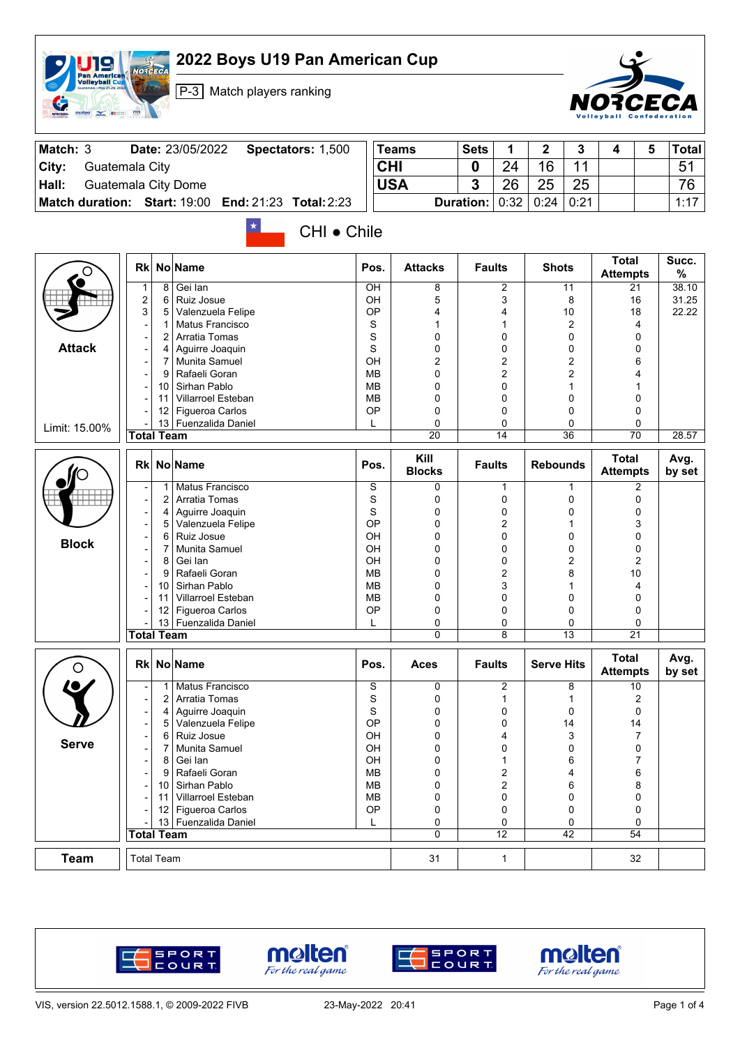| <b>Pan American</b><br><b>Volleyball Cup</b><br>Guatemala - May 21-29, 2023<br>$\overline{M}$ | P-3 Match players ranking                                                           |                            |                            |                  |                                         |                   |              |                                 |   | RCECA          |
|-----------------------------------------------------------------------------------------------|-------------------------------------------------------------------------------------|----------------------------|----------------------------|------------------|-----------------------------------------|-------------------|--------------|---------------------------------|---|----------------|
| Match: 3                                                                                      | Date: 23/05/2022<br>Spectators: 1,500                                               |                            | <b>Teams</b>               | <b>Sets</b>      | 1                                       | 2                 | 3            | 4                               | 5 | Total          |
| City:                                                                                         | Guatemala City                                                                      |                            | <b>CHI</b>                 | 0                | 24                                      | 16                | 11           |                                 |   | 51             |
| Hall:                                                                                         | Guatemala City Dome                                                                 |                            | <b>USA</b>                 | 3                | 26                                      | 25                | 25           |                                 |   | 76             |
|                                                                                               | Match duration: Start: 19:00<br><b>End: 21:23</b><br><b>Total: 2:23</b>             |                            |                            | <b>Duration:</b> | 0:32                                    | 0:24              | 0:21         |                                 |   | 1:17           |
|                                                                                               | $\star$<br>CHI • Chile                                                              |                            |                            |                  |                                         |                   |              | <b>Total</b>                    |   | Succ.          |
|                                                                                               | <b>No Name</b><br>Rk                                                                | Pos.                       | <b>Attacks</b>             | <b>Faults</b>    |                                         | <b>Shots</b>      |              | <b>Attempts</b>                 |   | %              |
|                                                                                               | Gei lan<br>8<br>1                                                                   | OH                         | 8                          |                  | 2                                       |                   | 11           | 21                              |   | 38.10          |
|                                                                                               | 2<br>Ruiz Josue<br>6<br>3<br>5<br>Valenzuela Felipe                                 | OH<br>OP                   | 5<br>4                     |                  | 3<br>4                                  |                   | 8<br>10      | 16<br>18                        |   | 31.25<br>22.22 |
|                                                                                               | Matus Francisco<br>$\mathbf 1$                                                      | S                          | 1                          |                  | 1                                       |                   | 2            | 4                               |   |                |
|                                                                                               | Arratia Tomas<br>2<br>-                                                             | S                          | 0                          |                  | 0                                       |                   | 0            | 0                               |   |                |
| <b>Attack</b>                                                                                 | Aguirre Joaquin<br>4<br>Munita Samuel                                               | S<br>OH                    | 0                          |                  | 0                                       |                   | 0            | 0                               |   |                |
|                                                                                               | 7<br>Rafaeli Goran<br>9                                                             | MB                         | 2<br>$\Omega$              |                  | 2<br>2                                  |                   | 2<br>2       | 6<br>4                          |   |                |
|                                                                                               | Sirhan Pablo<br>10                                                                  | <b>MB</b>                  | $\mathbf 0$                |                  | 0                                       |                   | $\mathbf{1}$ | 1                               |   |                |
|                                                                                               | Villarroel Esteban<br>11                                                            | <b>MB</b>                  | 0                          |                  | 0                                       |                   | 0            | 0                               |   |                |
|                                                                                               | Figueroa Carlos<br>12                                                               | ОP                         | $\mathbf 0$<br>$\mathbf 0$ |                  | 0                                       |                   | 0            | 0                               |   |                |
| Limit: 15.00%                                                                                 | 13 Fuenzalida Daniel<br><b>Total Team</b>                                           | L                          | $\overline{20}$            |                  | 0<br>$\overline{14}$                    |                   | 0<br>36      | 0<br>$\overline{70}$            |   | 28.57          |
|                                                                                               | No Name<br><b>Rk</b>                                                                | Pos.                       | Kill<br><b>Blocks</b>      | <b>Faults</b>    |                                         | <b>Rebounds</b>   |              | <b>Total</b><br><b>Attempts</b> |   | Avg.<br>by set |
|                                                                                               | Matus Francisco<br>$\mathbf 1$                                                      | S                          | 0                          |                  | 1                                       |                   | $\mathbf{1}$ | 2                               |   |                |
|                                                                                               | $\overline{2}$<br>Arratia Tomas                                                     | S<br>S                     | 0                          |                  | 0                                       |                   | 0            | 0                               |   |                |
|                                                                                               | Aguirre Joaquin<br>4<br>۳<br>Valenzuela Felipe<br>5                                 | OP                         | $\mathbf 0$<br>$\mathbf 0$ |                  | 0<br>2                                  |                   | 0<br>1       | 0<br>3                          |   |                |
|                                                                                               | Ruiz Josue<br>6                                                                     | OH                         | $\mathbf 0$                |                  | 0                                       |                   | 0            | 0                               |   |                |
| <b>Block</b>                                                                                  | <b>Munita Samuel</b><br>7                                                           | OH                         | 0                          |                  | 0                                       |                   | 0            | 0                               |   |                |
|                                                                                               | 8<br>Gei Ian<br>۰                                                                   | OH                         | $\Omega$                   |                  | 0                                       |                   | 2            | 2                               |   |                |
|                                                                                               | Rafaeli Goran<br>9<br>Sirhan Pablo<br>10                                            | <b>MB</b><br>МB            | 0<br>$\mathbf 0$           |                  | 2<br>3                                  |                   | 8<br>1       | 10<br>4                         |   |                |
|                                                                                               | <b>Villarroel Esteban</b><br>11                                                     | ΜВ                         | 0                          |                  | 0                                       |                   | 0            | 0                               |   |                |
|                                                                                               | 12<br>Figueroa Carlos                                                               | OP                         | 0                          |                  | 0                                       |                   | 0            | 0                               |   |                |
|                                                                                               | 13 Fuenzalida Daniel<br><b>Total Team</b>                                           |                            | 0<br>0                     |                  | 0<br>8                                  |                   | 0<br>13      | 0<br>21                         |   |                |
|                                                                                               |                                                                                     |                            |                            |                  |                                         |                   |              |                                 |   |                |
| $\circ$                                                                                       | Rk No Name                                                                          | Pos.                       | <b>Aces</b>                | <b>Faults</b>    |                                         | <b>Serve Hits</b> |              | <b>Total</b><br><b>Attempts</b> |   | Avg.<br>by set |
|                                                                                               | Matus Francisco<br>1<br>$\overline{\phantom{a}}$<br>$\overline{2}$<br>Arratia Tomas | $\mathbf S$<br>$\mathbf S$ | 0<br>0                     |                  | 2                                       |                   | 8<br>1       | 10<br>2                         |   |                |
|                                                                                               | Aguirre Joaquin<br>4                                                                | S                          | 0                          |                  | 1<br>0                                  |                   | 0            | 0                               |   |                |
|                                                                                               | Valenzuela Felipe<br>5<br>۰                                                         | OP                         | 0                          |                  | 0                                       |                   | 14           | 14                              |   |                |
| <b>Serve</b>                                                                                  | Ruiz Josue<br>6<br>-                                                                | OH                         | 0                          |                  | 4                                       |                   | 3            | 7                               |   |                |
|                                                                                               | Munita Samuel<br>7                                                                  | OH                         | 0                          |                  | 0                                       |                   | 0            | 0                               |   |                |
|                                                                                               | Gei Ian<br>8<br>۳<br>Rafaeli Goran<br>9                                             | OH<br><b>MB</b>            | 0<br>0                     |                  | $\mathbf{1}$<br>$\overline{\mathbf{c}}$ |                   | 6<br>4       | 7<br>6                          |   |                |
|                                                                                               | Sirhan Pablo<br>10                                                                  | <b>MB</b>                  | 0                          |                  | 2                                       |                   | 6            | 8                               |   |                |
|                                                                                               | Villarroel Esteban<br>11                                                            | <b>MB</b>                  | 0                          |                  | 0                                       |                   | 0            | 0                               |   |                |
|                                                                                               | Figueroa Carlos<br>12<br>۰                                                          | OP                         | 0                          |                  | 0                                       |                   | 0            | 0<br>0                          |   |                |
|                                                                                               | 13 Fuenzalida Daniel                                                                | L                          | 0                          |                  | 0                                       |                   | 0            |                                 |   |                |
|                                                                                               |                                                                                     |                            | 0                          |                  |                                         |                   |              |                                 |   |                |
| <b>Team</b>                                                                                   | <b>Total Team</b><br><b>Total Team</b>                                              |                            | 31                         |                  | $\overline{12}$<br>$\mathbf{1}$         |                   | 42           | 54<br>32                        |   |                |

**2022 Boys U19 Pan American Cup**

NOTOFICA







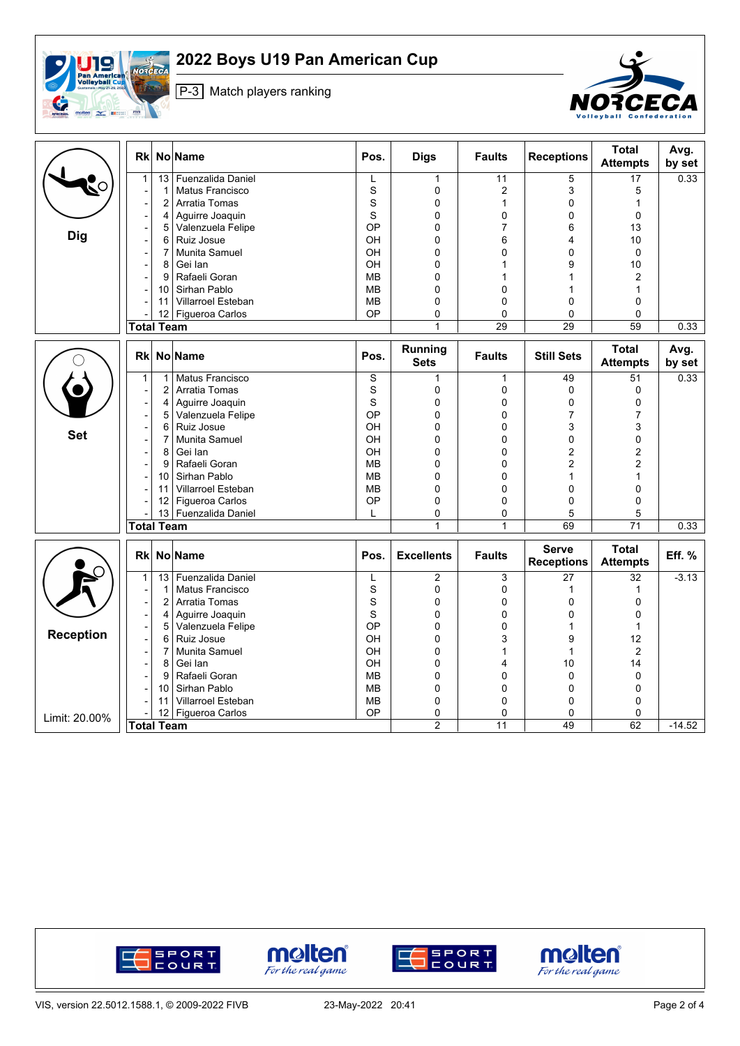

## **2022 Boys U19 Pan American Cup**

P-3 Match players ranking



|                  | Rkl                          |                 | <b>No Name</b>            | Pos.        | <b>Digs</b>                   | <b>Faults</b>  | <b>Receptions</b>                 | <b>Total</b><br><b>Attempts</b> | Avg.<br>by set |
|------------------|------------------------------|-----------------|---------------------------|-------------|-------------------------------|----------------|-----------------------------------|---------------------------------|----------------|
|                  | $\mathbf{1}$                 | $\overline{13}$ | Fuenzalida Daniel         | L           | $\mathbf{1}$                  | 11             | 5                                 | $\overline{17}$                 | 0.33           |
| 50               | $\overline{\phantom{a}}$     | $\mathbf 1$     | Matus Francisco           | $\mathbf S$ | $\mathbf 0$                   | $\overline{2}$ | 3                                 | 5                               |                |
|                  | $\overline{a}$               | $\overline{2}$  | Arratia Tomas             | S           | 0                             | $\mathbf{1}$   | 0                                 | $\mathbf{1}$                    |                |
|                  | ÷,                           | 4               | Aguirre Joaquin           | S           | 0                             | 0              | 0                                 | $\mathbf 0$                     |                |
|                  | -                            | 5               | Valenzuela Felipe         | OP          | 0                             | $\overline{7}$ | 6                                 | 13                              |                |
| <b>Dig</b>       | $\overline{\phantom{a}}$     | 6               | Ruiz Josue                | OН          | 0                             | 6              | 4                                 | 10                              |                |
|                  | -                            | 7               | Munita Samuel             | OН          | 0                             | 0              | $\mathbf 0$                       | $\mathbf 0$                     |                |
|                  | $\overline{\phantom{a}}$     | 8               | Gei lan                   | OН          | 0                             | 1              | 9                                 | 10                              |                |
|                  | -                            | 9               | Rafaeli Goran             | <b>MB</b>   | 0                             | 1              | $\mathbf{1}$                      | $\overline{2}$                  |                |
|                  |                              | 10              | Sirhan Pablo              | <b>MB</b>   | 0                             | $\Omega$       | 1                                 | $\mathbf{1}$                    |                |
|                  |                              | 11              | <b>Villarroel Esteban</b> | <b>MB</b>   | 0                             | $\Omega$       | $\Omega$                          | $\Omega$                        |                |
|                  |                              | 12 <sup>°</sup> | <b>Figueroa Carlos</b>    | OP          | 0                             | $\Omega$       | $\Omega$                          | $\Omega$                        |                |
|                  | <b>Total Team</b>            |                 |                           |             | $\mathbf{1}$                  | 29             | 29                                | 59                              | 0.33           |
|                  | Rkl                          |                 | No Name                   | Pos.        | <b>Running</b><br><b>Sets</b> | <b>Faults</b>  | <b>Still Sets</b>                 | Total<br><b>Attempts</b>        | Avg.<br>by set |
|                  | 1                            | $\mathbf{1}$    | Matus Francisco           | S           | 1                             | 1              | 49                                | 51                              | 0.33           |
|                  |                              | $\overline{2}$  | Arratia Tomas             | S           | 0                             | 0              | $\mathbf 0$                       | $\mathbf 0$                     |                |
|                  | $\overline{\phantom{a}}$     | 4               | Aguirre Joaquin           | S           | 0                             | 0              | $\mathbf 0$                       | $\mathbf 0$                     |                |
|                  | $\overline{a}$               | 5               | Valenzuela Felipe         | OP          | 0                             | 0              | $\overline{7}$                    | $\overline{7}$                  |                |
|                  | $\overline{\phantom{a}}$     | 6               | Ruiz Josue                | OH          | 0                             | 0              | 3                                 | 3                               |                |
| <b>Set</b>       | ÷                            | $\overline{7}$  | Munita Samuel             | OH          | 0                             | 0              | $\mathbf{0}$                      | $\mathbf 0$                     |                |
|                  | $\overline{\phantom{a}}$     | 8               | Gei lan                   | OH          | 0                             | $\Omega$       | $\overline{2}$                    | $\overline{2}$                  |                |
|                  | $\qquad \qquad \blacksquare$ | 9               | Rafaeli Goran             | <b>MB</b>   | 0                             | $\Omega$       | $\overline{2}$                    | $\overline{2}$                  |                |
|                  | ÷,                           | 10              | Sirhan Pablo              | <b>MB</b>   | 0                             | 0              | $\mathbf 1$                       | 1                               |                |
|                  | $\overline{a}$               | 11              | Villarroel Esteban        | <b>MB</b>   | 0                             | 0              | $\pmb{0}$                         | $\Omega$                        |                |
|                  |                              | 12              | Figueroa Carlos           | OP          | 0                             | 0              | $\mathbf 0$                       | 0                               |                |
|                  |                              |                 | 13 Fuenzalida Daniel      | L           | 0                             | 0              | 5                                 | 5                               |                |
|                  | <b>Total Team</b>            |                 |                           |             | $\mathbf{1}$                  | $\mathbf{1}$   | 69                                | $\overline{71}$                 | 0.33           |
|                  | <b>Rk</b>                    |                 | No Name                   | Pos.        | <b>Excellents</b>             | <b>Faults</b>  | <b>Serve</b><br><b>Receptions</b> | <b>Total</b><br><b>Attempts</b> | Eff. %         |
|                  | $\mathbf{1}$                 | 13              | Fuenzalida Daniel         | L           | 2                             | 3              | 27                                | 32                              | $-3.13$        |
|                  | $\overline{\phantom{a}}$     | 1               | Matus Francisco           | S           | 0                             | 0              | $\mathbf 1$                       | $\mathbf{1}$                    |                |
|                  | $\overline{a}$               | $\overline{2}$  | <b>Arratia Tomas</b>      | S           | 0                             | 0              | $\mathbf 0$                       | $\Omega$                        |                |
|                  | ÷,                           | 4               | Aguirre Joaquin           | S           | 0                             | $\Omega$       | $\Omega$                          | $\mathbf 0$                     |                |
|                  |                              | 5               | Valenzuela Felipe         | OP          | 0                             | $\Omega$       | $\mathbf{1}$                      | $\mathbf{1}$                    |                |
| <b>Reception</b> | ÷                            | 6               | Ruiz Josue                | OH          | 0                             | 3              | 9                                 | 12                              |                |
|                  | $\qquad \qquad \blacksquare$ | 7               | Munita Samuel             | OH          | 0                             | $\mathbf{1}$   | $\mathbf{1}$                      | $\overline{2}$                  |                |
|                  | $\overline{a}$               | 8               | Gei Ian                   | OH          | 0                             | 4              | 10                                | 14                              |                |
|                  | $\overline{a}$               | 9               | Rafaeli Goran             | <b>MB</b>   | 0                             | 0              | $\mathbf 0$                       | $\mathbf 0$                     |                |
|                  |                              | 10              | Sirhan Pablo              | <b>MB</b>   | 0                             | 0              | $\mathbf 0$                       | $\mathbf 0$                     |                |
|                  |                              | 11              | Villarroel Esteban        | MВ          | 0                             | 0              | $\mathbf 0$                       | 0                               |                |
| Limit: 20.00%    |                              | 12 <sup>°</sup> | Figueroa Carlos           | OP          | 0                             | 0              | $\mathbf 0$                       | $\mathbf 0$                     |                |
|                  | <b>Total Team</b>            |                 |                           |             | $\overline{2}$                | 11             | 49                                | 62                              | $-14.52$       |







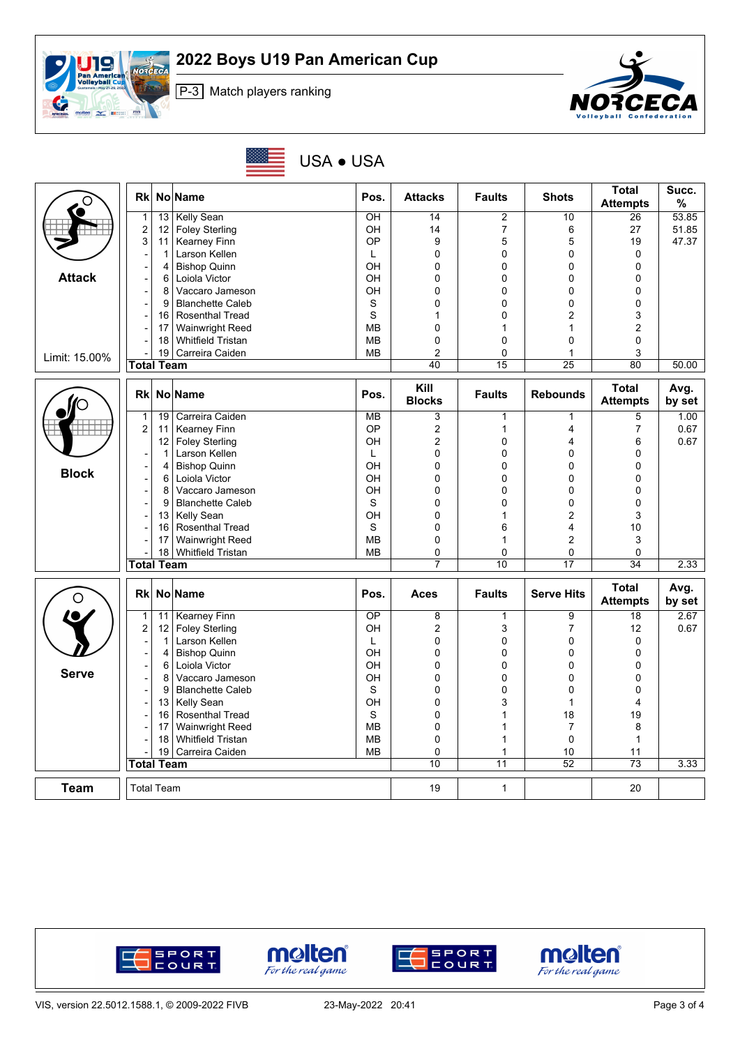





USA ● USA

| O             | Rkl                      |                   | No Name                  | Pos.            | <b>Attacks</b>        | <b>Faults</b>  | <b>Shots</b>      | <b>Total</b><br><b>Attempts</b> | Succ.<br>%     |
|---------------|--------------------------|-------------------|--------------------------|-----------------|-----------------------|----------------|-------------------|---------------------------------|----------------|
|               | $\mathbf{1}$             | 13                | <b>Kelly Sean</b>        | OH              | 14                    | $\overline{c}$ | 10                | 26                              | 53.85          |
|               | $\overline{\mathbf{c}}$  | 12                | <b>Foley Sterling</b>    | OH              | 14                    | $\overline{7}$ | 6                 | 27                              | 51.85          |
|               | 3                        | 11                | Kearney Finn             | OP              | 9                     | 5              | 5                 | 19                              | 47.37          |
|               |                          | $\mathbf{1}$      | Larson Kellen            | L               | 0                     | 0              | 0                 | $\mathbf 0$                     |                |
|               |                          | 4                 | <b>Bishop Quinn</b>      | OH              | 0                     | 0              | $\mathbf 0$       | 0                               |                |
| <b>Attack</b> |                          | 6                 | Loiola Victor            | OH              | 0                     | 0              | 0                 | 0                               |                |
|               |                          | 8                 | Vaccaro Jameson          | OH              | 0                     | 0              | 0                 | 0                               |                |
|               |                          | 9                 | <b>Blanchette Caleb</b>  | S               | 0                     | 0              | 0                 | 0                               |                |
|               |                          | 16                | <b>Rosenthal Tread</b>   | S               | 1                     | 0              | $\overline{2}$    | 3                               |                |
|               |                          | 17                | <b>Wainwright Reed</b>   | MB              | 0                     | 1              | $\mathbf{1}$      | $\overline{c}$                  |                |
|               |                          | 18                | <b>Whitfield Tristan</b> | <b>MB</b>       | 0                     | $\mathbf 0$    | $\mathbf 0$       | 0                               |                |
| Limit: 15.00% |                          | 19                | Carreira Caiden          | MB              | 2                     | 0              | 1                 | 3                               |                |
|               | <b>Total Team</b>        |                   |                          |                 | 40                    | 15             | $\overline{25}$   | 80                              | 50.00          |
|               | <b>Rk</b>                |                   | No Name                  | Pos.            | Kill<br><b>Blocks</b> | <b>Faults</b>  | <b>Rebounds</b>   | <b>Total</b><br><b>Attempts</b> | Avg.<br>by set |
|               | $\mathbf{1}$             | 19                | Carreira Caiden          | <b>MB</b>       | 3                     | $\mathbf{1}$   | $\mathbf{1}$      | 5                               | 1.00           |
|               | $\overline{c}$           | 11                | Kearney Finn             | OP              | 2                     | $\mathbf 1$    | $\overline{4}$    | $\overline{7}$                  | 0.67           |
|               |                          | 12                | <b>Foley Sterling</b>    | OH              | 2                     | 0              | 4                 | 6                               | 0.67           |
|               |                          | $\mathbf 1$       | Larson Kellen            | L               | 0                     | 0              | $\mathbf 0$       | 0                               |                |
| <b>Block</b>  |                          | 4                 | <b>Bishop Quinn</b>      | OH              | 0                     | 0              | 0                 | 0                               |                |
|               | $\overline{\phantom{a}}$ | 6                 | Loiola Victor            | OH              | 0                     | 0              | $\mathbf 0$       | 0                               |                |
|               | ÷                        | 8                 | Vaccaro Jameson          | OH              | 0                     | 0              | 0                 | 0                               |                |
|               |                          | 9                 | <b>Blanchette Caleb</b>  | S               | 0                     | 0              | 0                 | 0                               |                |
|               |                          | 13                | <b>Kelly Sean</b>        | OH              | 0                     | 1              | $\overline{2}$    | 3                               |                |
|               |                          | 16                | <b>Rosenthal Tread</b>   | S               | 0                     | 6              | $\overline{4}$    | 10                              |                |
|               |                          | 17                | Wainwright Reed          | <b>MB</b>       | 0                     | 1              | $\overline{2}$    | 3                               |                |
|               |                          |                   | 18 Whitfield Tristan     | <b>MB</b>       | 0                     | $\mathbf 0$    | 0                 | $\mathbf 0$                     |                |
|               | <b>Total Team</b>        |                   |                          |                 | $\overline{7}$        | 10             | 17                | 34                              | 2.33           |
| O             | Rkl                      |                   | No Name                  | Pos.            | <b>Aces</b>           | <b>Faults</b>  | <b>Serve Hits</b> | <b>Total</b><br><b>Attempts</b> | Avg.<br>by set |
|               | $\mathbf{1}$             | 11                | <b>Kearney Finn</b>      | $\overline{OP}$ | 8                     | $\mathbf 1$    | 9                 | 18                              | 2.67           |
|               | $\boldsymbol{2}$         | 12                | <b>Foley Sterling</b>    | <b>OH</b>       | 2                     | 3              | $\overline{7}$    | 12                              | 0.67           |
|               | $\overline{\phantom{a}}$ | $\mathbf{1}$      | Larson Kellen            | L               | 0                     | $\mathbf 0$    | 0                 | $\mathbf 0$                     |                |
|               | $\overline{a}$           | 4                 | <b>Bishop Quinn</b>      | OH              | 0                     | $\mathbf 0$    | 0                 | 0                               |                |
| <b>Serve</b>  | ÷,                       | 6                 | Loiola Victor            | OH              | 0                     | 0              | 0                 | 0                               |                |
|               | $\overline{\phantom{a}}$ | 8                 | Vaccaro Jameson          | OH              | 0                     | 0              | $\mathbf 0$       | 0                               |                |
|               | Ξ.                       | 9                 | <b>Blanchette Caleb</b>  | S               | 0                     | 0              | 0                 | 0                               |                |
|               | $\overline{\phantom{a}}$ | 13                | Kelly Sean               | OH              | 0                     | 3              | $\mathbf{1}$      | 4                               |                |
|               |                          | 16                | Rosenthal Tread          | S               | 0                     | 1              | 18                | 19                              |                |
|               |                          | 17                | Wainwright Reed          | <b>MB</b>       | 0                     | 1              | $\overline{7}$    | 8                               |                |
|               |                          | 18                | <b>Whitfield Tristan</b> | MB              | 0                     | 1              | $\mathbf 0$       | $\mathbf{1}$                    |                |
|               |                          | 19                | Carreira Caiden          | <b>MB</b>       | 0                     | 1              | 10                | 11                              |                |
|               | <b>Total Team</b>        |                   |                          |                 | 10                    | 11             | 52                | $\overline{73}$                 | 3.33           |
| <b>Team</b>   |                          | <b>Total Team</b> |                          |                 | 19                    | $\mathbf{1}$   |                   | 20                              |                |